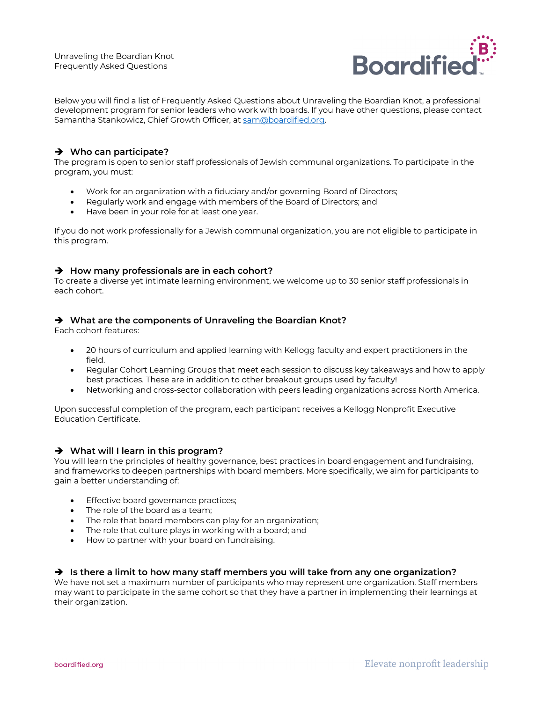

Below you will find a list of Frequently Asked Questions about Unraveling the Boardian Knot, a professional development program for senior leaders who work with boards. If you have other questions, please contact Samantha Stankowicz, Chief Growth Officer, at sam@boardified.org.

## $→$  Who can participate?

The program is open to senior staff professionals of Jewish communal organizations. To participate in the program, you must:

- Work for an organization with a fiduciary and/or governing Board of Directors;
- Regularly work and engage with members of the Board of Directors; and
- Have been in your role for at least one year.

If you do not work professionally for a Jewish communal organization, you are not eligible to participate in this program.

### $→$  How many professionals are in each cohort?

To create a diverse yet intimate learning environment, we welcome up to 30 senior staff professionals in each cohort.

### $→$  **What are the components of Unraveling the Boardian Knot?**

Each cohort features:

- 20 hours of curriculum and applied learning with Kellogg faculty and expert practitioners in the field.
- Regular Cohort Learning Groups that meet each session to discuss key takeaways and how to apply best practices. These are in addition to other breakout groups used by faculty!
- Networking and cross-sector collaboration with peers leading organizations across North America.

Upon successful completion of the program, each participant receives a Kellogg Nonprofit Executive Education Certificate.

#### $→$  What will I learn in this program?

You will learn the principles of healthy governance, best practices in board engagement and fundraising, and frameworks to deepen partnerships with board members. More specifically, we aim for participants to gain a better understanding of:

- Effective board governance practices;
- The role of the board as a team:
- The role that board members can play for an organization;
- The role that culture plays in working with a board; and
- How to partner with your board on fundraising.

#### è **Is there a limit to how many staff members you will take from any one organization?**

We have not set a maximum number of participants who may represent one organization. Staff members may want to participate in the same cohort so that they have a partner in implementing their learnings at their organization.